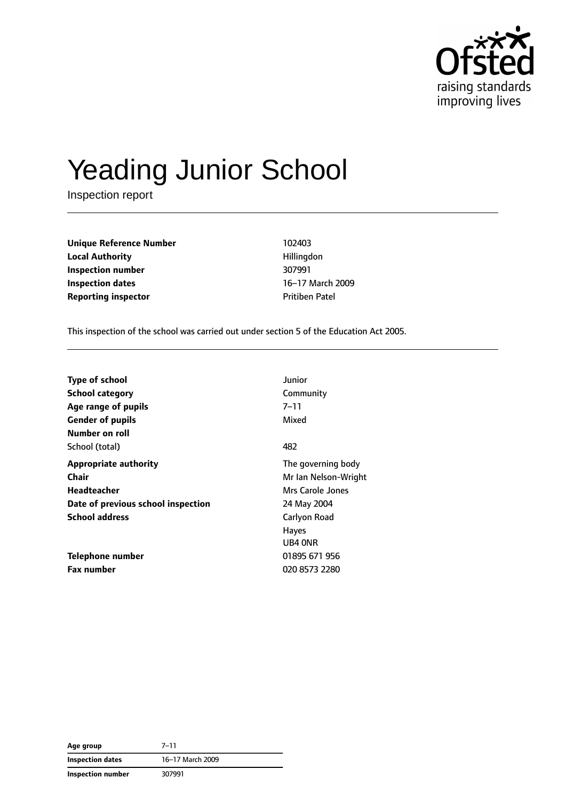

# Yeading Junior School

Inspection report

**Unique Reference Number** 102403 **Local Authority Hillingdon Inspection number** 307991 **Inspection dates** 16–17 March 2009 **Reporting inspector CONFIDENTIAL PROPERTY PROPERTY** Pritiben Patel

This inspection of the school was carried out under section 5 of the Education Act 2005.

| <b>Type of school</b>              | Junior               |
|------------------------------------|----------------------|
| <b>School category</b>             | Community            |
| Age range of pupils                | 7–11                 |
| <b>Gender of pupils</b>            | Mixed                |
| Number on roll                     |                      |
| School (total)                     | 482                  |
| <b>Appropriate authority</b>       | The governing body   |
| Chair                              | Mr Ian Nelson-Wright |
| Headteacher                        | Mrs Carole Jones     |
| Date of previous school inspection | 24 May 2004          |
| <b>School address</b>              | Carlyon Road         |
|                                    | <b>Hayes</b>         |
|                                    | UB4 ONR              |
| Telephone number                   | 01895 671 956        |
| <b>Fax number</b>                  | 020 8573 2280        |

| Age group               | 7–11             |
|-------------------------|------------------|
| <b>Inspection dates</b> | 16-17 March 2009 |
| Inspection number       | 307991           |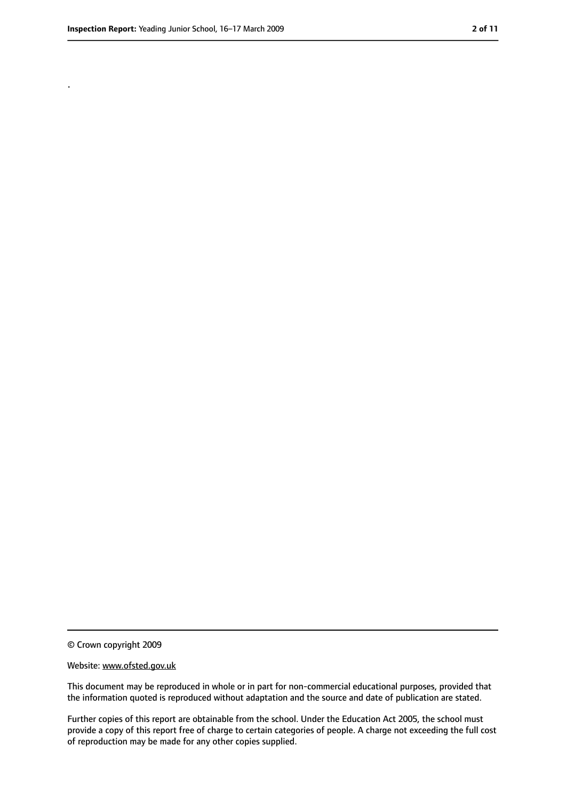.

<sup>©</sup> Crown copyright 2009

Website: www.ofsted.gov.uk

This document may be reproduced in whole or in part for non-commercial educational purposes, provided that the information quoted is reproduced without adaptation and the source and date of publication are stated.

Further copies of this report are obtainable from the school. Under the Education Act 2005, the school must provide a copy of this report free of charge to certain categories of people. A charge not exceeding the full cost of reproduction may be made for any other copies supplied.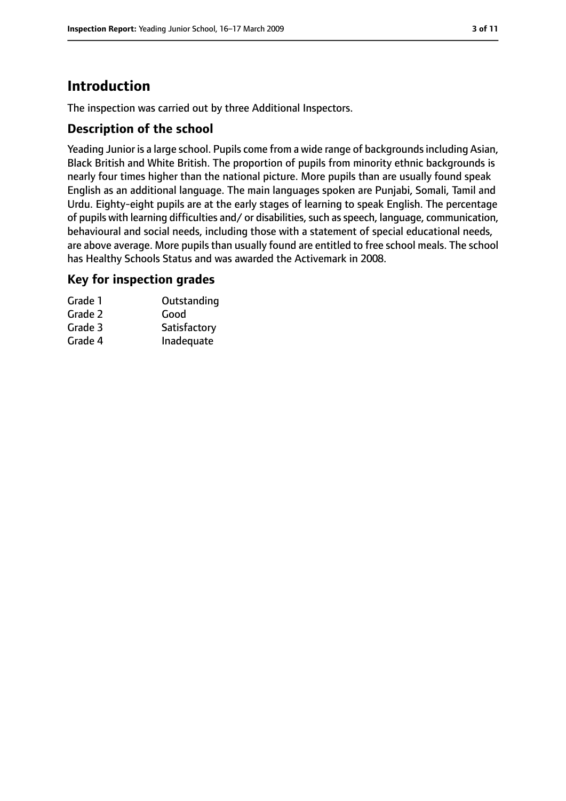# **Introduction**

The inspection was carried out by three Additional Inspectors.

## **Description of the school**

Yeading Junior is a large school. Pupils come from a wide range of backgrounds including Asian, Black British and White British. The proportion of pupils from minority ethnic backgrounds is nearly four times higher than the national picture. More pupils than are usually found speak English as an additional language. The main languages spoken are Punjabi, Somali, Tamil and Urdu. Eighty-eight pupils are at the early stages of learning to speak English. The percentage of pupils with learning difficulties and/ or disabilities, such as speech, language, communication, behavioural and social needs, including those with a statement of special educational needs, are above average. More pupils than usually found are entitled to free school meals. The school has Healthy Schools Status and was awarded the Activemark in 2008.

#### **Key for inspection grades**

| Grade 1 | Outstanding  |
|---------|--------------|
| Grade 2 | Good         |
| Grade 3 | Satisfactory |
| Grade 4 | Inadequate   |
|         |              |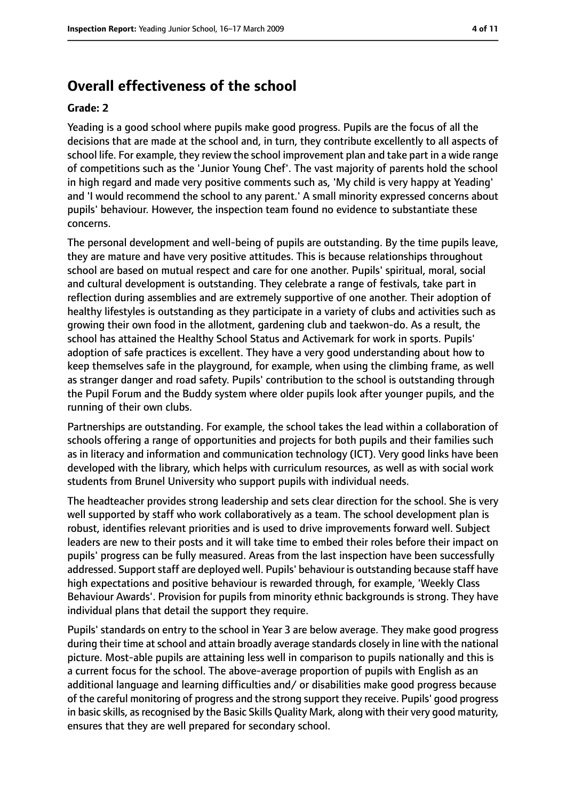# **Overall effectiveness of the school**

#### **Grade: 2**

Yeading is a good school where pupils make good progress. Pupils are the focus of all the decisions that are made at the school and, in turn, they contribute excellently to all aspects of school life. For example, they review the school improvement plan and take part in a wide range of competitions such as the 'Junior Young Chef'. The vast majority of parents hold the school in high regard and made very positive comments such as, 'My child is very happy at Yeading' and 'I would recommend the school to any parent.' A small minority expressed concerns about pupils' behaviour. However, the inspection team found no evidence to substantiate these concerns.

The personal development and well-being of pupils are outstanding. By the time pupils leave, they are mature and have very positive attitudes. This is because relationships throughout school are based on mutual respect and care for one another. Pupils' spiritual, moral, social and cultural development is outstanding. They celebrate a range of festivals, take part in reflection during assemblies and are extremely supportive of one another. Their adoption of healthy lifestyles is outstanding as they participate in a variety of clubs and activities such as growing their own food in the allotment, gardening club and taekwon-do. As a result, the school has attained the Healthy School Status and Activemark for work in sports. Pupils' adoption of safe practices is excellent. They have a very good understanding about how to keep themselves safe in the playground, for example, when using the climbing frame, as well as stranger danger and road safety. Pupils' contribution to the school is outstanding through the Pupil Forum and the Buddy system where older pupils look after younger pupils, and the running of their own clubs.

Partnerships are outstanding. For example, the school takes the lead within a collaboration of schools offering a range of opportunities and projects for both pupils and their families such as in literacy and information and communication technology (ICT). Very good links have been developed with the library, which helps with curriculum resources, as well as with social work students from Brunel University who support pupils with individual needs.

The headteacher provides strong leadership and sets clear direction for the school. She is very well supported by staff who work collaboratively as a team. The school development plan is robust, identifies relevant priorities and is used to drive improvements forward well. Subject leaders are new to their posts and it will take time to embed their roles before their impact on pupils' progress can be fully measured. Areas from the last inspection have been successfully addressed. Support staff are deployed well. Pupils' behaviour is outstanding because staff have high expectations and positive behaviour is rewarded through, for example, 'Weekly Class Behaviour Awards'. Provision for pupils from minority ethnic backgrounds is strong. They have individual plans that detail the support they require.

Pupils' standards on entry to the school in Year 3 are below average. They make good progress during their time at school and attain broadly average standards closely in line with the national picture. Most-able pupils are attaining less well in comparison to pupils nationally and this is a current focus for the school. The above-average proportion of pupils with English as an additional language and learning difficulties and/ or disabilities make good progress because of the careful monitoring of progress and the strong support they receive. Pupils' good progress in basic skills, as recognised by the Basic Skills Quality Mark, along with their very good maturity, ensures that they are well prepared for secondary school.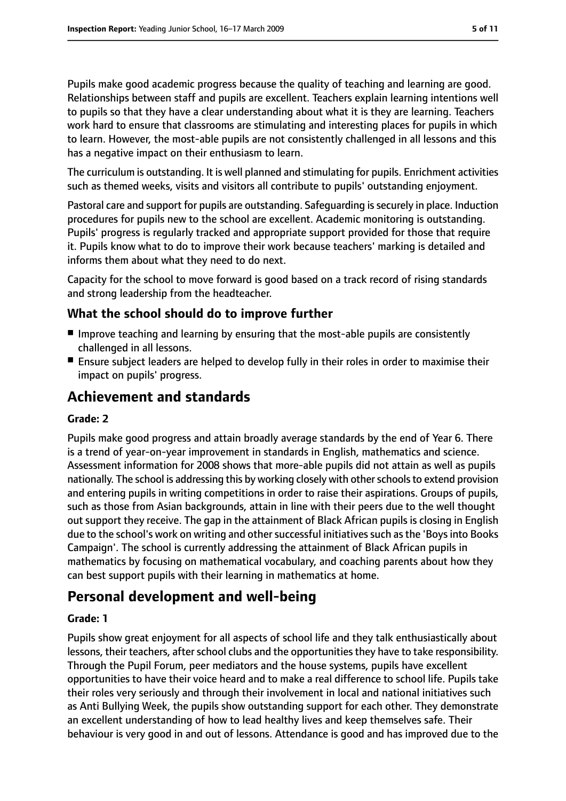Pupils make good academic progress because the quality of teaching and learning are good. Relationships between staff and pupils are excellent. Teachers explain learning intentions well to pupils so that they have a clear understanding about what it is they are learning. Teachers work hard to ensure that classrooms are stimulating and interesting places for pupils in which to learn. However, the most-able pupils are not consistently challenged in all lessons and this has a negative impact on their enthusiasm to learn.

The curriculum is outstanding. It is well planned and stimulating for pupils. Enrichment activities such as themed weeks, visits and visitors all contribute to pupils' outstanding enjoyment.

Pastoral care and support for pupils are outstanding. Safeguarding issecurely in place. Induction procedures for pupils new to the school are excellent. Academic monitoring is outstanding. Pupils' progress is regularly tracked and appropriate support provided for those that require it. Pupils know what to do to improve their work because teachers' marking is detailed and informs them about what they need to do next.

Capacity for the school to move forward is good based on a track record of rising standards and strong leadership from the headteacher.

## **What the school should do to improve further**

- Improve teaching and learning by ensuring that the most-able pupils are consistently challenged in all lessons.
- Ensure subject leaders are helped to develop fully in their roles in order to maximise their impact on pupils' progress.

# **Achievement and standards**

#### **Grade: 2**

Pupils make good progress and attain broadly average standards by the end of Year 6. There is a trend of year-on-year improvement in standards in English, mathematics and science. Assessment information for 2008 shows that more-able pupils did not attain as well as pupils nationally. The school is addressing this by working closely with otherschoolsto extend provision and entering pupils in writing competitions in order to raise their aspirations. Groups of pupils, such as those from Asian backgrounds, attain in line with their peers due to the well thought out support they receive. The gap in the attainment of Black African pupils is closing in English due to the school's work on writing and other successful initiatives such as the 'Boys into Books Campaign'. The school is currently addressing the attainment of Black African pupils in mathematics by focusing on mathematical vocabulary, and coaching parents about how they can best support pupils with their learning in mathematics at home.

# **Personal development and well-being**

#### **Grade: 1**

Pupils show great enjoyment for all aspects of school life and they talk enthusiastically about lessons, their teachers, after school clubs and the opportunities they have to take responsibility. Through the Pupil Forum, peer mediators and the house systems, pupils have excellent opportunities to have their voice heard and to make a real difference to school life. Pupils take their roles very seriously and through their involvement in local and national initiatives such as Anti Bullying Week, the pupils show outstanding support for each other. They demonstrate an excellent understanding of how to lead healthy lives and keep themselves safe. Their behaviour is very good in and out of lessons. Attendance is good and has improved due to the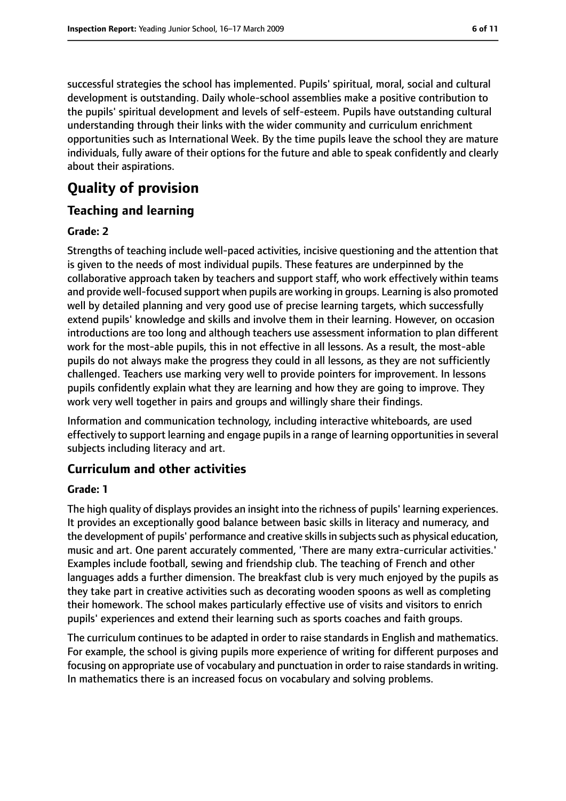successful strategies the school has implemented. Pupils' spiritual, moral, social and cultural development is outstanding. Daily whole-school assemblies make a positive contribution to the pupils' spiritual development and levels of self-esteem. Pupils have outstanding cultural understanding through their links with the wider community and curriculum enrichment opportunities such as International Week. By the time pupils leave the school they are mature individuals, fully aware of their options for the future and able to speak confidently and clearly about their aspirations.

# **Quality of provision**

## **Teaching and learning**

#### **Grade: 2**

Strengths of teaching include well-paced activities, incisive questioning and the attention that is given to the needs of most individual pupils. These features are underpinned by the collaborative approach taken by teachers and support staff, who work effectively within teams and provide well-focused support when pupils are working in groups. Learning is also promoted well by detailed planning and very good use of precise learning targets, which successfully extend pupils' knowledge and skills and involve them in their learning. However, on occasion introductions are too long and although teachers use assessment information to plan different work for the most-able pupils, this in not effective in all lessons. As a result, the most-able pupils do not always make the progress they could in all lessons, as they are not sufficiently challenged. Teachers use marking very well to provide pointers for improvement. In lessons pupils confidently explain what they are learning and how they are going to improve. They work very well together in pairs and groups and willingly share their findings.

Information and communication technology, including interactive whiteboards, are used effectively to support learning and engage pupils in a range of learning opportunities in several subjects including literacy and art.

#### **Curriculum and other activities**

#### **Grade: 1**

The high quality of displays provides an insight into the richness of pupils' learning experiences. It provides an exceptionally good balance between basic skills in literacy and numeracy, and the development of pupils' performance and creative skills in subjects such as physical education, music and art. One parent accurately commented, 'There are many extra-curricular activities.' Examples include football, sewing and friendship club. The teaching of French and other languages adds a further dimension. The breakfast club is very much enjoyed by the pupils as they take part in creative activities such as decorating wooden spoons as well as completing their homework. The school makes particularly effective use of visits and visitors to enrich pupils' experiences and extend their learning such as sports coaches and faith groups.

The curriculum continues to be adapted in order to raise standards in English and mathematics. For example, the school is giving pupils more experience of writing for different purposes and focusing on appropriate use of vocabulary and punctuation in order to raise standards in writing. In mathematics there is an increased focus on vocabulary and solving problems.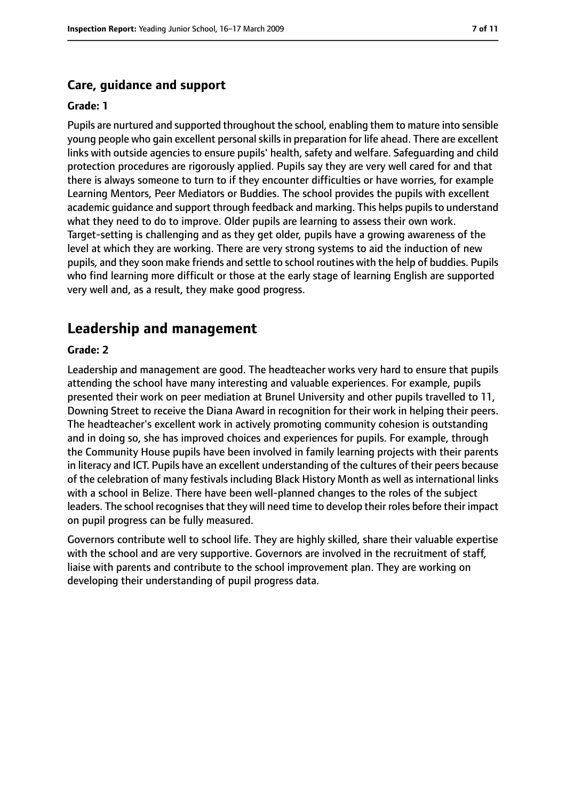## **Care, guidance and support**

#### **Grade: 1**

Pupils are nurtured and supported throughout the school, enabling them to mature into sensible young people who gain excellent personalskillsin preparation for life ahead. There are excellent links with outside agencies to ensure pupils' health, safety and welfare. Safeguarding and child protection procedures are rigorously applied. Pupils say they are very well cared for and that there is always someone to turn to if they encounter difficulties or have worries, for example Learning Mentors, Peer Mediators or Buddies. The school provides the pupils with excellent academic guidance and support through feedback and marking. This helps pupils to understand what they need to do to improve. Older pupils are learning to assess their own work. Target-setting is challenging and as they get older, pupils have a growing awareness of the level at which they are working. There are very strong systems to aid the induction of new pupils, and they soon make friends and settle to school routines with the help of buddies. Pupils who find learning more difficult or those at the early stage of learning English are supported very well and, as a result, they make good progress.

# **Leadership and management**

#### **Grade: 2**

Leadership and management are good. The headteacher works very hard to ensure that pupils attending the school have many interesting and valuable experiences. For example, pupils presented their work on peer mediation at Brunel University and other pupils travelled to 11, Downing Street to receive the Diana Award in recognition for their work in helping their peers. The headteacher's excellent work in actively promoting community cohesion is outstanding and in doing so, she has improved choices and experiences for pupils. For example, through the Community House pupils have been involved in family learning projects with their parents in literacy and ICT. Pupils have an excellent understanding of the cultures of their peers because of the celebration of many festivals including Black History Month as well as international links with a school in Belize. There have been well-planned changes to the roles of the subject leaders. The school recognises that they will need time to develop their roles before their impact on pupil progress can be fully measured.

Governors contribute well to school life. They are highly skilled, share their valuable expertise with the school and are very supportive. Governors are involved in the recruitment of staff, liaise with parents and contribute to the school improvement plan. They are working on developing their understanding of pupil progress data.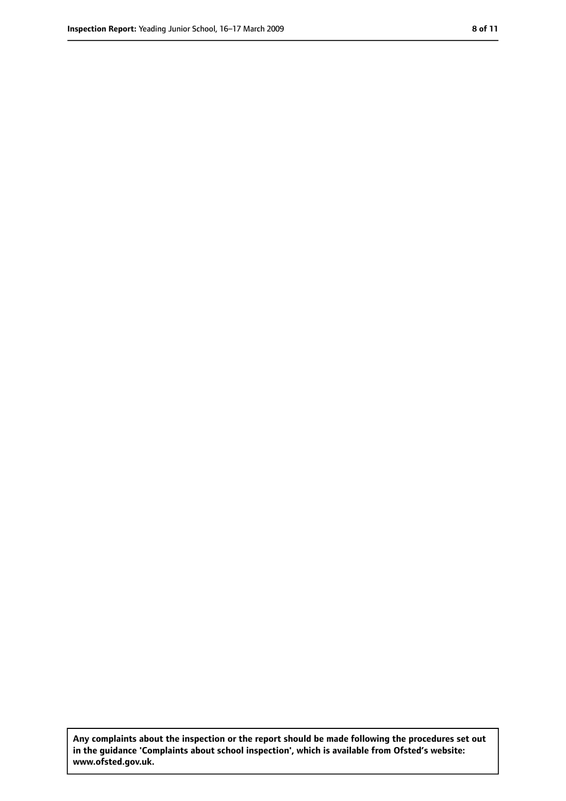**Any complaints about the inspection or the report should be made following the procedures set out in the guidance 'Complaints about school inspection', which is available from Ofsted's website: www.ofsted.gov.uk.**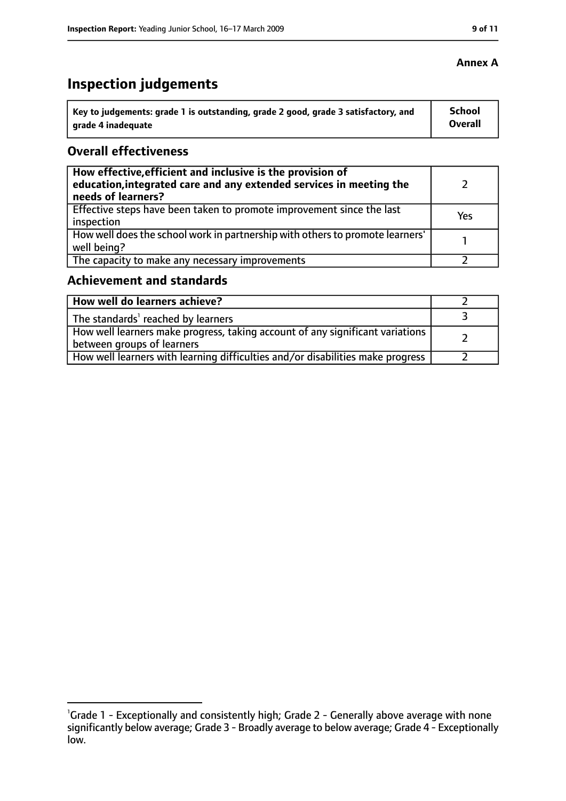# **Inspection judgements**

| ˈ Key to judgements: grade 1 is outstanding, grade 2 good, grade 3 satisfactory, and | <b>School</b>  |
|--------------------------------------------------------------------------------------|----------------|
| arade 4 inadequate                                                                   | <b>Overall</b> |

## **Overall effectiveness**

| How effective, efficient and inclusive is the provision of<br>education, integrated care and any extended services in meeting the<br>needs of learners? |     |
|---------------------------------------------------------------------------------------------------------------------------------------------------------|-----|
| Effective steps have been taken to promote improvement since the last<br>inspection                                                                     | Yes |
| How well does the school work in partnership with others to promote learners'<br>well being?                                                            |     |
| The capacity to make any necessary improvements                                                                                                         |     |

# **Achievement and standards**

| How well do learners achieve?                                                                                 |  |
|---------------------------------------------------------------------------------------------------------------|--|
| The standards <sup>1</sup> reached by learners                                                                |  |
| How well learners make progress, taking account of any significant variations  <br>between groups of learners |  |
| How well learners with learning difficulties and/or disabilities make progress                                |  |

## **Annex A**

<sup>&</sup>lt;sup>1</sup>Grade 1 - Exceptionally and consistently high; Grade 2 - Generally above average with none significantly below average; Grade 3 - Broadly average to below average; Grade 4 - Exceptionally low.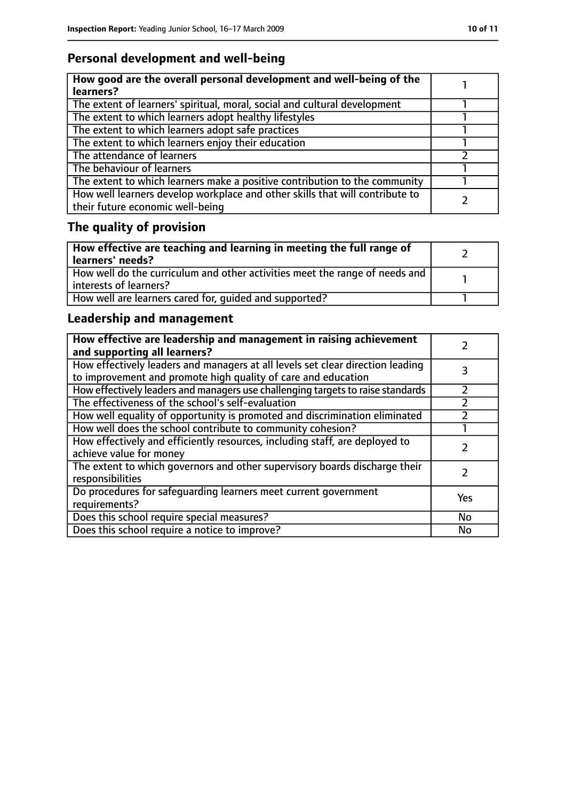# **Personal development and well-being**

| How good are the overall personal development and well-being of the<br>learners?                                 |  |
|------------------------------------------------------------------------------------------------------------------|--|
| The extent of learners' spiritual, moral, social and cultural development                                        |  |
| The extent to which learners adopt healthy lifestyles                                                            |  |
| The extent to which learners adopt safe practices                                                                |  |
| The extent to which learners enjoy their education                                                               |  |
| The attendance of learners                                                                                       |  |
| The behaviour of learners                                                                                        |  |
| The extent to which learners make a positive contribution to the community                                       |  |
| How well learners develop workplace and other skills that will contribute to<br>their future economic well-being |  |

# **The quality of provision**

| How effective are teaching and learning in meeting the full range of<br>learners' needs?              |  |
|-------------------------------------------------------------------------------------------------------|--|
| How well do the curriculum and other activities meet the range of needs and<br>interests of learners? |  |
| How well are learners cared for, quided and supported?                                                |  |

# **Leadership and management**

| How effective are leadership and management in raising achievement<br>and supporting all learners?                                              |     |
|-------------------------------------------------------------------------------------------------------------------------------------------------|-----|
| How effectively leaders and managers at all levels set clear direction leading<br>to improvement and promote high quality of care and education |     |
| How effectively leaders and managers use challenging targets to raise standards                                                                 |     |
| The effectiveness of the school's self-evaluation                                                                                               |     |
| How well equality of opportunity is promoted and discrimination eliminated                                                                      |     |
| How well does the school contribute to community cohesion?                                                                                      |     |
| How effectively and efficiently resources, including staff, are deployed to<br>achieve value for money                                          |     |
| The extent to which governors and other supervisory boards discharge their<br>responsibilities                                                  |     |
| Do procedures for safeguarding learners meet current government<br>requirements?                                                                | Yes |
| Does this school require special measures?                                                                                                      | No  |
| Does this school require a notice to improve?                                                                                                   | No  |